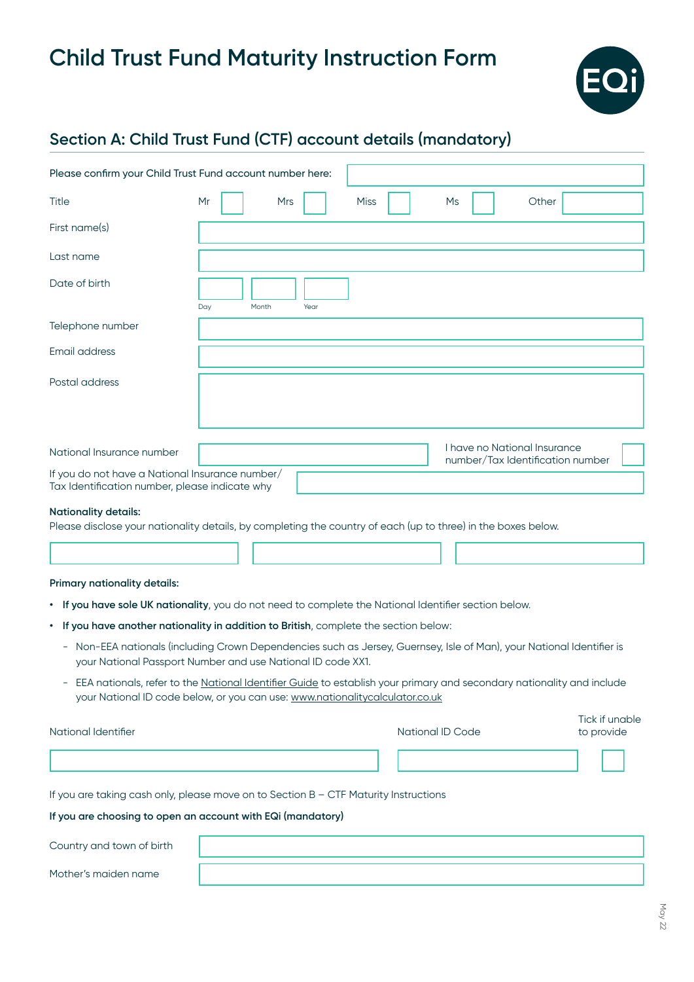

# **Section A: Child Trust Fund (CTF) account details (mandatory)**

| Please confirm your Child Trust Fund account number here:                                                                                                                                                      |                  |      |             |                  |                                  |                              |
|----------------------------------------------------------------------------------------------------------------------------------------------------------------------------------------------------------------|------------------|------|-------------|------------------|----------------------------------|------------------------------|
| Title                                                                                                                                                                                                          | Mr<br><b>Mrs</b> |      | <b>Miss</b> | Ms               | Other                            |                              |
| First name(s)                                                                                                                                                                                                  |                  |      |             |                  |                                  |                              |
| Last name                                                                                                                                                                                                      |                  |      |             |                  |                                  |                              |
| Date of birth                                                                                                                                                                                                  | Day<br>Month     | Year |             |                  |                                  |                              |
| Telephone number                                                                                                                                                                                               |                  |      |             |                  |                                  |                              |
| Email address                                                                                                                                                                                                  |                  |      |             |                  |                                  |                              |
| Postal address                                                                                                                                                                                                 |                  |      |             |                  |                                  |                              |
| National Insurance number                                                                                                                                                                                      |                  |      |             |                  | I have no National Insurance     |                              |
| If you do not have a National Insurance number/<br>Tax Identification number, please indicate why                                                                                                              |                  |      |             |                  | number/Tax Identification number |                              |
| <b>Nationality details:</b><br>Please disclose your nationality details, by completing the country of each (up to three) in the boxes below.                                                                   |                  |      |             |                  |                                  |                              |
| Primary nationality details:<br>• If you have sole UK nationality, you do not need to complete the National Identifier section below.                                                                          |                  |      |             |                  |                                  |                              |
| If you have another nationality in addition to British, complete the section below:<br>٠                                                                                                                       |                  |      |             |                  |                                  |                              |
| Non-EEA nationals (including Crown Dependencies such as Jersey, Guernsey, Isle of Man), your National Identifier is<br>$\overline{\phantom{a}}$<br>your National Passport Number and use National ID code XX1. |                  |      |             |                  |                                  |                              |
| EEA nationals, refer to the National Identifier Guide to establish your primary and secondary nationality and include<br>your National ID code below, or you can use: www.nationalitycalculator.co.uk          |                  |      |             |                  |                                  |                              |
| National Identifier                                                                                                                                                                                            |                  |      |             | National ID Code |                                  | Tick if unable<br>to provide |
|                                                                                                                                                                                                                |                  |      |             |                  |                                  |                              |
| If you are taking cash only, please move on to Section B - CTF Maturity Instructions                                                                                                                           |                  |      |             |                  |                                  |                              |
| If you are choosing to open an account with EQi (mandatory)                                                                                                                                                    |                  |      |             |                  |                                  |                              |
| Country and town of birth                                                                                                                                                                                      |                  |      |             |                  |                                  |                              |
| Mother's maiden name                                                                                                                                                                                           |                  |      |             |                  |                                  |                              |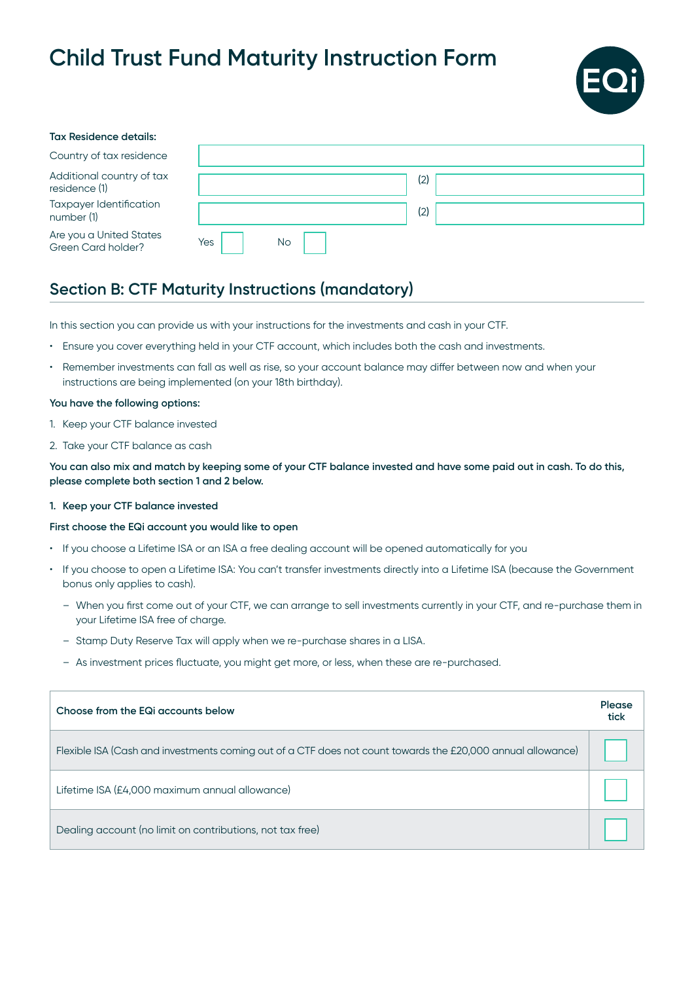

| <b>Tax Residence details:</b>                 |     |           |     |  |
|-----------------------------------------------|-----|-----------|-----|--|
| Country of tax residence                      |     |           |     |  |
| Additional country of tax<br>residence (1)    |     |           | (2) |  |
| Taxpayer Identification<br>number (1)         |     |           | (2) |  |
| Are you a United States<br>Green Card holder? | Yes | <b>No</b> |     |  |

# **Section B: CTF Maturity Instructions (mandatory)**

In this section you can provide us with your instructions for the investments and cash in your CTF.

- Ensure you cover everything held in your CTF account, which includes both the cash and investments.
- Remember investments can fall as well as rise, so your account balance may differ between now and when your instructions are being implemented (on your 18th birthday).

## **You have the following options:**

- 1. Keep your CTF balance invested
- 2. Take your CTF balance as cash

**You can also mix and match by keeping some of your CTF balance invested and have some paid out in cash. To do this, please complete both section 1 and 2 below.** 

### **1. Keep your CTF balance invested**

### **First choose the EQi account you would like to open**

- If you choose a Lifetime ISA or an ISA a free dealing account will be opened automatically for you
- If you choose to open a Lifetime ISA: You can't transfer investments directly into a Lifetime ISA (because the Government bonus only applies to cash).
	- When you first come out of your CTF, we can arrange to sell investments currently in your CTF, and re-purchase them in your Lifetime ISA free of charge.
	- Stamp Duty Reserve Tax will apply when we re-purchase shares in a LISA.
	- As investment prices fluctuate, you might get more, or less, when these are re-purchased.

| Choose from the EQI accounts below                                                                          | Please<br>tick |
|-------------------------------------------------------------------------------------------------------------|----------------|
| Flexible ISA (Cash and investments coming out of a CTF does not count towards the £20,000 annual allowance) |                |
| Lifetime ISA (£4,000 maximum annual allowance)                                                              |                |
| Dealing account (no limit on contributions, not tax free)                                                   |                |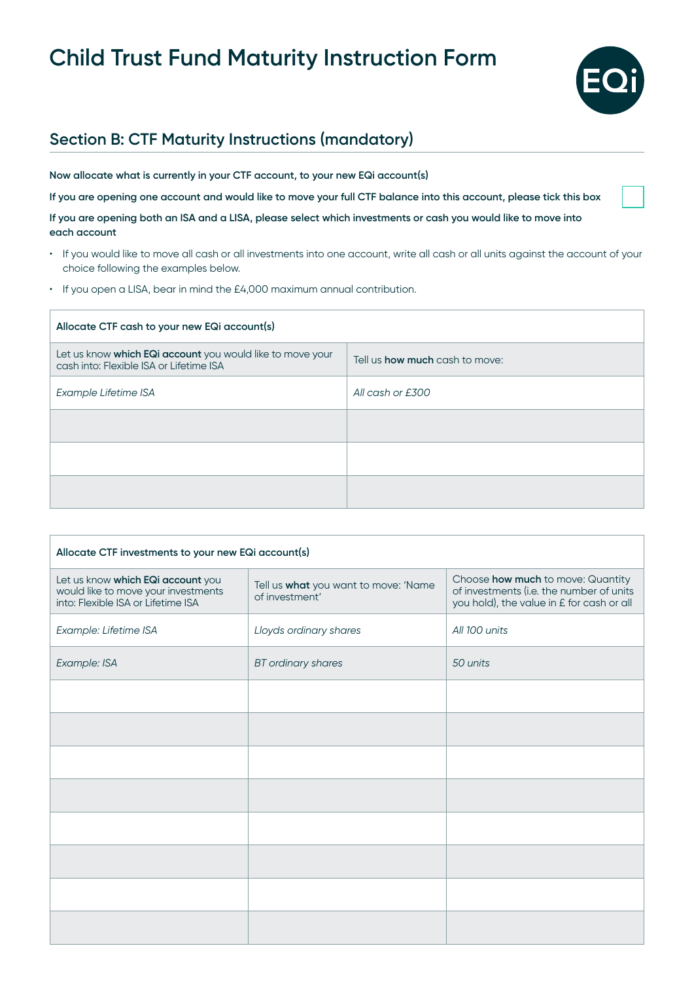

# **Section B: CTF Maturity Instructions (mandatory)**

**Now allocate what is currently in your CTF account, to your new EQi account(s)**

**If you are opening one account and would like to move your full CTF balance into this account, please tick this box**

**If you are opening both an ISA and a LISA, please select which investments or cash you would like to move into each account**

- If you would like to move all cash or all investments into one account, write all cash or all units against the account of your choice following the examples below.
- If you open a LISA, bear in mind the £4,000 maximum annual contribution.

| Allocate CTF cash to your new EQi account(s)                                                         |                                       |  |  |
|------------------------------------------------------------------------------------------------------|---------------------------------------|--|--|
| Let us know which EQi account you would like to move your<br>cash into: Flexible ISA or Lifetime ISA | Tell us <b>how much</b> cash to move: |  |  |
| Example Lifetime ISA                                                                                 | All cash or £300                      |  |  |
|                                                                                                      |                                       |  |  |
|                                                                                                      |                                       |  |  |
|                                                                                                      |                                       |  |  |

| Allocate CTF investments to your new EQi account(s)                                                            |                                                        |                                                                                                                            |  |  |
|----------------------------------------------------------------------------------------------------------------|--------------------------------------------------------|----------------------------------------------------------------------------------------------------------------------------|--|--|
| Let us know which EQi account you<br>would like to move your investments<br>into: Flexible ISA or Lifetime ISA | Tell us what you want to move: 'Name<br>of investment' | Choose how much to move: Quantity<br>of investments (i.e. the number of units<br>you hold), the value in £ for cash or all |  |  |
| Example: Lifetime ISA                                                                                          | Lloyds ordinary shares                                 | All 100 units                                                                                                              |  |  |
| Example: ISA                                                                                                   | <b>BT</b> ordinary shares                              | 50 units                                                                                                                   |  |  |
|                                                                                                                |                                                        |                                                                                                                            |  |  |
|                                                                                                                |                                                        |                                                                                                                            |  |  |
|                                                                                                                |                                                        |                                                                                                                            |  |  |
|                                                                                                                |                                                        |                                                                                                                            |  |  |
|                                                                                                                |                                                        |                                                                                                                            |  |  |
|                                                                                                                |                                                        |                                                                                                                            |  |  |
|                                                                                                                |                                                        |                                                                                                                            |  |  |
|                                                                                                                |                                                        |                                                                                                                            |  |  |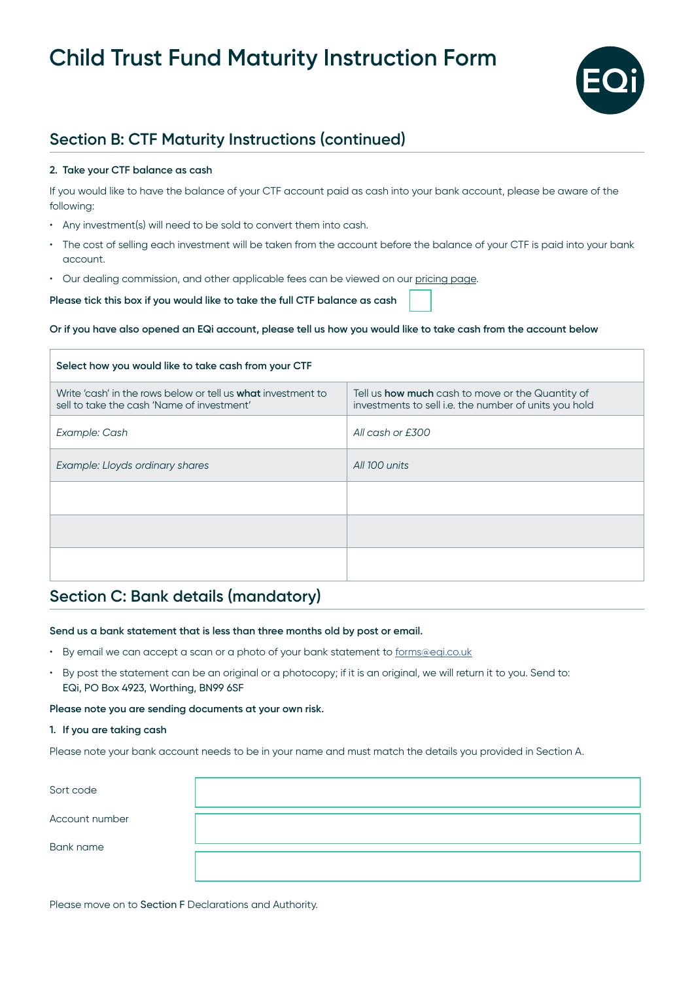

# **Section B: CTF Maturity Instructions (continued)**

## **2. Take your CTF balance as cash**

If you would like to have the balance of your CTF account paid as cash into your bank account, please be aware of the following:

- Any investment(s) will need to be sold to convert them into cash.
- The cost of selling each investment will be taken from the account before the balance of your CTF is paid into your bank account.
- Our dealing commission, and other applicable fees can be viewed on our [pricing page.](https://eqi.co.uk/info/how-it-works/pricing)

**Please tick this box if you would like to take the full CTF balance as cash** 

### **Or if you have also opened an EQi account, please tell us how you would like to take cash from the account below**

| Select how you would like to take cash from your CTF                                                              |                                                                                                           |  |  |
|-------------------------------------------------------------------------------------------------------------------|-----------------------------------------------------------------------------------------------------------|--|--|
| Write 'cash' in the rows below or tell us <b>what</b> investment to<br>sell to take the cash 'Name of investment' | Tell us how much cash to move or the Quantity of<br>investments to sell i.e. the number of units you hold |  |  |
| Example: Cash                                                                                                     | All cash or £300                                                                                          |  |  |
| Example: Lloyds ordinary shares                                                                                   | All 100 units                                                                                             |  |  |
|                                                                                                                   |                                                                                                           |  |  |
|                                                                                                                   |                                                                                                           |  |  |
|                                                                                                                   |                                                                                                           |  |  |

## **Section C: Bank details (mandatory)**

### **Send us a bank statement that is less than three months old by post or email.**

- By email we can accept a scan or a photo of your bank statement to [forms@eqi.co.uk](mailto:forms%40eqi.co.uk?subject=CTF%20Maturity%20Instruction)
- By post the statement can be an original or a photocopy; if it is an original, we will return it to you. Send to: EQi, PO Box 4923, Worthing, BN99 6SF

### **Please note you are sending documents at your own risk.**

### **1. If you are taking cash**

Please note your bank account needs to be in your name and must match the details you provided in Section A.

| Sort code      |  |
|----------------|--|
| Account number |  |
| Bank name      |  |
|                |  |

Please move on to Section F Declarations and Authority.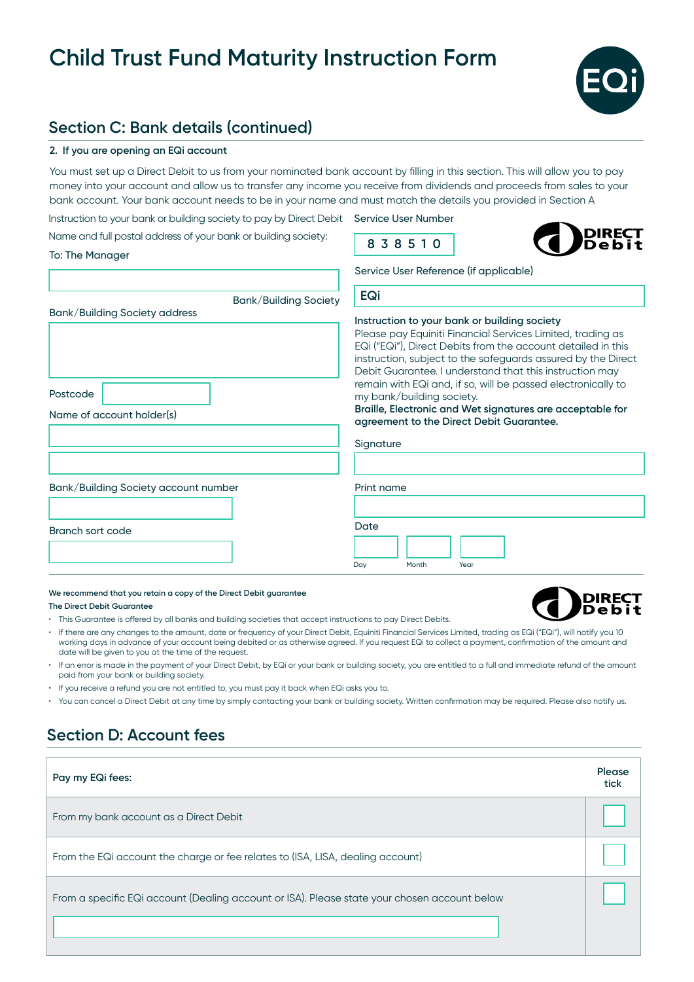

## **Section C: Bank details (continued)**

## **2. If you are opening an EQi account**

To: The Manager

You must set up a Direct Debit to us from your nominated bank account by filling in this section. This will allow you to pay money into your account and allow us to transfer any income you receive from dividends and proceeds from sales to your bank account. Your bank account needs to be in your name and must match the details you provided in Section A

Instruction to your bank or building society to pay by Direct Debit Service User Number Name and full postal address of your bank or building society:

**8 3 8 5 1 0**

**DIREÇT** 

Service User Reference (if applicable)

| Bank/Building Society                                                  | EQi                                                                                                                                                                                                                                                                                                                                                                                                                                                                                                                      |
|------------------------------------------------------------------------|--------------------------------------------------------------------------------------------------------------------------------------------------------------------------------------------------------------------------------------------------------------------------------------------------------------------------------------------------------------------------------------------------------------------------------------------------------------------------------------------------------------------------|
| Bank/Building Society address<br>Postcode<br>Name of account holder(s) | Instruction to your bank or building society<br>Please pay Equiniti Financial Services Limited, trading as<br>EQi ("EQi"), Direct Debits from the account detailed in this<br>instruction, subject to the safeguards assured by the Direct<br>Debit Guarantee. I understand that this instruction may<br>remain with EQi and, if so, will be passed electronically to<br>my bank/building society.<br>Braille, Electronic and Wet signatures are acceptable for<br>agreement to the Direct Debit Guarantee.<br>Signature |
| Bank/Building Society account number                                   | Print name                                                                                                                                                                                                                                                                                                                                                                                                                                                                                                               |
| Branch sort code                                                       | Date<br>Month<br>Day<br>Year                                                                                                                                                                                                                                                                                                                                                                                                                                                                                             |

#### **We recommend that you retain a copy of the Direct Debit guarantee**

**The Direct Debit Guarantee**

- This Guarantee is offered by all banks and building societies that accept instructions to pay Direct Debits.
- If there are any changes to the amount, date or frequency of your Direct Debit, Equiniti Financial Services Limited, trading as EQi ("EQi"), will notify you 10 working days in advance of your account being debited or as otherwise agreed. If you request EQi to collect a payment, confirmation of the amount and date will be given to you at the time of the request.
- If an error is made in the payment of your Direct Debit, by EQi or your bank or building society, you are entitled to a full and immediate refund of the amount paid from your bank or building society.
- If you receive a refund you are not entitled to, you must pay it back when EQi asks you to.
- You can cancel a Direct Debit at any time by simply contacting your bank or building society. Written confirmation may be required. Please also notify us.

# **Section D: Account fees**

| Pay my EQi fees:                                                                             | Please<br>tick |
|----------------------------------------------------------------------------------------------|----------------|
| From my bank account as a Direct Debit                                                       |                |
| From the EQi account the charge or fee relates to (ISA, LISA, dealing account)               |                |
| From a specific EQi account (Dealing account or ISA). Please state your chosen account below |                |
|                                                                                              |                |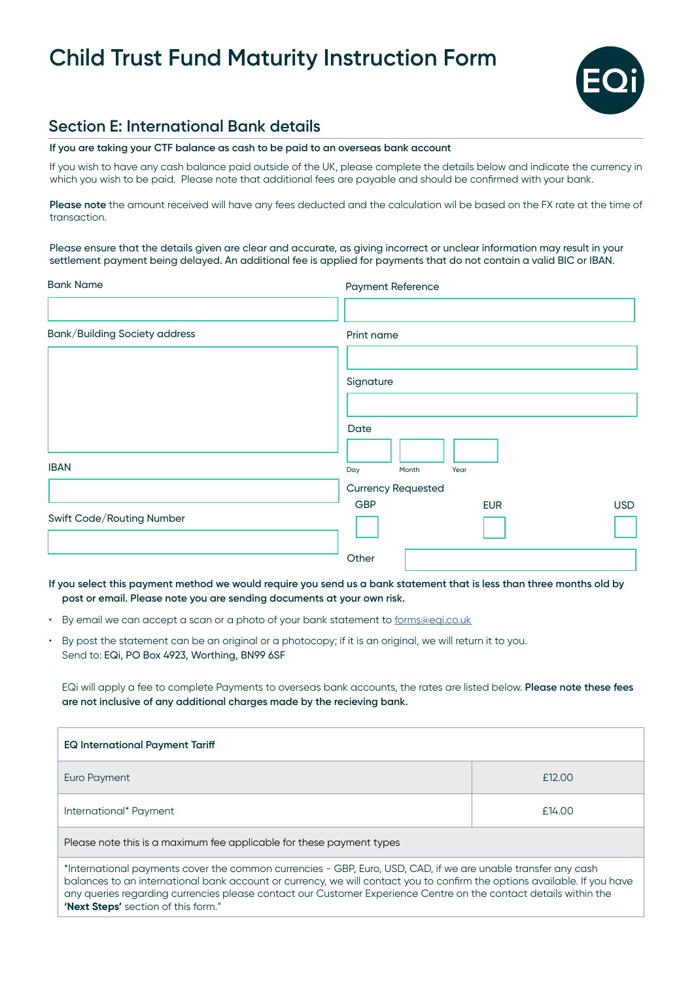

## **Section E: International Bank details**

### **If you are taking your CTF balance as cash to be paid to an overseas bank account**

If you wish to have any cash balance paid outside of the UK, please complete the details below and indicate the currency in which you wish to be paid. Please note that additional fees are payable and should be confirmed with your bank.

**Please note** the amount received will have any fees deducted and the calculation wil be based on the FX rate at the time of transaction.

Please ensure that the details given are clear and accurate, as giving incorrect or unclear information may result in your settlement payment being delayed. An additional fee is applied for payments that do not contain a valid BIC or IBAN.

| <b>Bank Name</b>                     | <b>Payment Reference</b>  |            |
|--------------------------------------|---------------------------|------------|
|                                      |                           |            |
| <b>Bank/Building Society address</b> | Print name                |            |
|                                      |                           |            |
|                                      | Signature                 |            |
|                                      |                           |            |
|                                      | Date                      |            |
| <b>IBAN</b>                          | Day<br>Month<br>Year      |            |
|                                      | <b>Currency Requested</b> |            |
| Swift Code/Routing Number            | <b>GBP</b><br><b>EUR</b>  | <b>USD</b> |
|                                      |                           |            |
|                                      | Other                     |            |

**If you select this payment method we would require you send us a bank statement that is less than three months old by post or email. Please note you are sending documents at your own risk.**

- By email we can accept a scan or a photo of your bank statement to [forms@eqi.co.uk](mailto:forms%40eqi.co.uk?subject=CTF%20Maturity%20Instruction)
- By post the statement can be an original or a photocopy; if it is an original, we will return it to you. Send to: EQi, PO Box 4923, Worthing, BN99 6SF

EQi will apply a fee to complete Payments to overseas bank accounts, the rates are listed below. **Please note these fees are not inclusive of any additional charges made by the recieving bank.**

| <b>EQ International Payment Tariff</b>                                                                        |        |  |
|---------------------------------------------------------------------------------------------------------------|--------|--|
| Euro Payment                                                                                                  | £12.00 |  |
| International* Payment                                                                                        | £14.00 |  |
| Please note this is a maximum fee applicable for these payment types                                          |        |  |
| *International payments cover the common currencies - GBP, Euro, USD, CAD, if we are unable transfer any cash |        |  |

balances to an international bank account or currency, we will contact you to confirm the options available. If you have any queries regarding currencies please contact our Customer Experience Centre on the contact details within the **'Next Steps'** section of this form."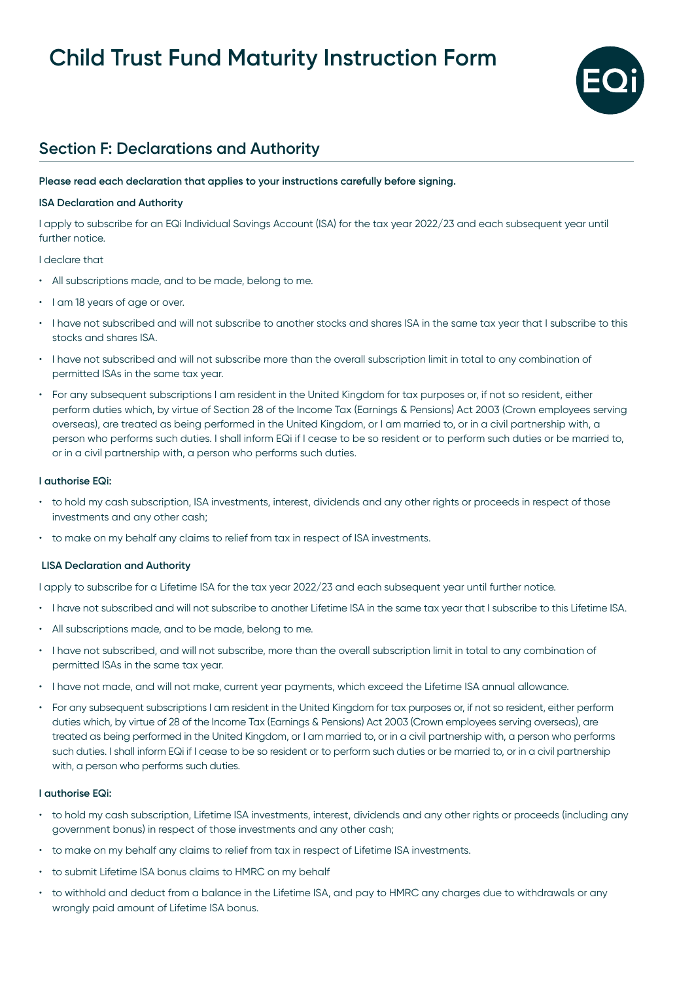

# **Section F: Declarations and Authority**

## **Please read each declaration that applies to your instructions carefully before signing.**

### **ISA Declaration and Authority**

I apply to subscribe for an EQi Individual Savings Account (ISA) for the tax year 2022/23 and each subsequent year until further notice.

### I declare that

- All subscriptions made, and to be made, belong to me.
- I am 18 years of age or over.
- I have not subscribed and will not subscribe to another stocks and shares ISA in the same tax year that I subscribe to this stocks and shares ISA.
- I have not subscribed and will not subscribe more than the overall subscription limit in total to any combination of permitted ISAs in the same tax year.
- For any subsequent subscriptions I am resident in the United Kingdom for tax purposes or, if not so resident, either perform duties which, by virtue of Section 28 of the Income Tax (Earnings & Pensions) Act 2003 (Crown employees serving overseas), are treated as being performed in the United Kingdom, or I am married to, or in a civil partnership with, a person who performs such duties. I shall inform EQi if I cease to be so resident or to perform such duties or be married to, or in a civil partnership with, a person who performs such duties.

### **I authorise EQi:**

- to hold my cash subscription, ISA investments, interest, dividends and any other rights or proceeds in respect of those investments and any other cash;
- to make on my behalf any claims to relief from tax in respect of ISA investments.

### **LISA Declaration and Authority**

I apply to subscribe for a Lifetime ISA for the tax year 2022/23 and each subsequent year until further notice.

- I have not subscribed and will not subscribe to another Lifetime ISA in the same tax year that I subscribe to this Lifetime ISA.
- All subscriptions made, and to be made, belong to me.
- I have not subscribed, and will not subscribe, more than the overall subscription limit in total to any combination of permitted ISAs in the same tax year.
- I have not made, and will not make, current year payments, which exceed the Lifetime ISA annual allowance.
- For any subsequent subscriptions I am resident in the United Kingdom for tax purposes or, if not so resident, either perform duties which, by virtue of 28 of the Income Tax (Earnings & Pensions) Act 2003 (Crown employees serving overseas), are treated as being performed in the United Kingdom, or I am married to, or in a civil partnership with, a person who performs such duties. I shall inform EQi if I cease to be so resident or to perform such duties or be married to, or in a civil partnership with, a person who performs such duties.

### **I authorise EQi:**

- to hold my cash subscription, Lifetime ISA investments, interest, dividends and any other rights or proceeds (including any government bonus) in respect of those investments and any other cash;
- to make on my behalf any claims to relief from tax in respect of Lifetime ISA investments.
- to submit Lifetime ISA bonus claims to HMRC on my behalf
- to withhold and deduct from a balance in the Lifetime ISA, and pay to HMRC any charges due to withdrawals or any wrongly paid amount of Lifetime ISA bonus.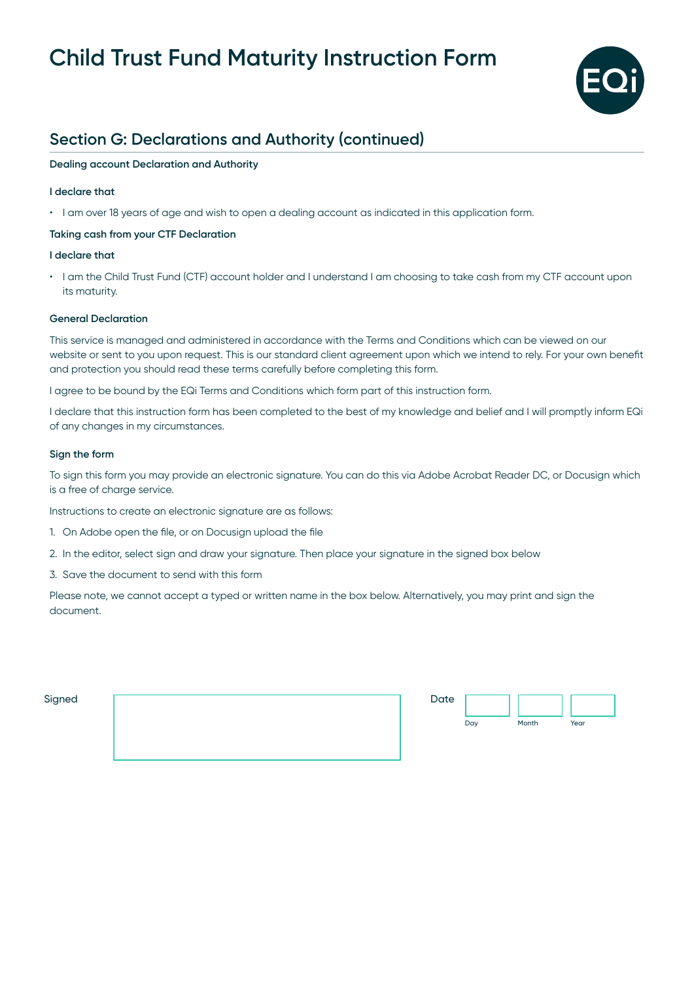

# **Section G: Declarations and Authority (continued)**

## **Dealing account Declaration and Authority**

## **I declare that**

• I am over 18 years of age and wish to open a dealing account as indicated in this application form.

## **Taking cash from your CTF Declaration**

### **I declare that**

• I am the Child Trust Fund (CTF) account holder and I understand I am choosing to take cash from my CTF account upon its maturity.

### **General Declaration**

This service is managed and administered in accordance with the Terms and Conditions which can be viewed on our website or sent to you upon request. This is our standard client agreement upon which we intend to rely. For your own benefit and protection you should read these terms carefully before completing this form.

I agree to be bound by the EQi Terms and Conditions which form part of this instruction form.

I declare that this instruction form has been completed to the best of my knowledge and belief and I will promptly inform EQi of any changes in my circumstances.

### **Sign the form**

To sign this form you may provide an electronic signature. You can do this via Adobe Acrobat Reader DC, or Docusign which is a free of charge service.

Instructions to create an electronic signature are as follows:

- 1. On Adobe open the file, or on Docusign upload the file
- 2. In the editor, select sign and draw your signature. Then place your signature in the signed box below
- 3. Save the document to send with this form

Please note, we cannot accept a typed or written name in the box below. Alternatively, you may print and sign the document.

| ~<br>Sianed<br>--- |  |
|--------------------|--|
|                    |  |

| Date |     |       |      |
|------|-----|-------|------|
|      | Day | Month | Year |